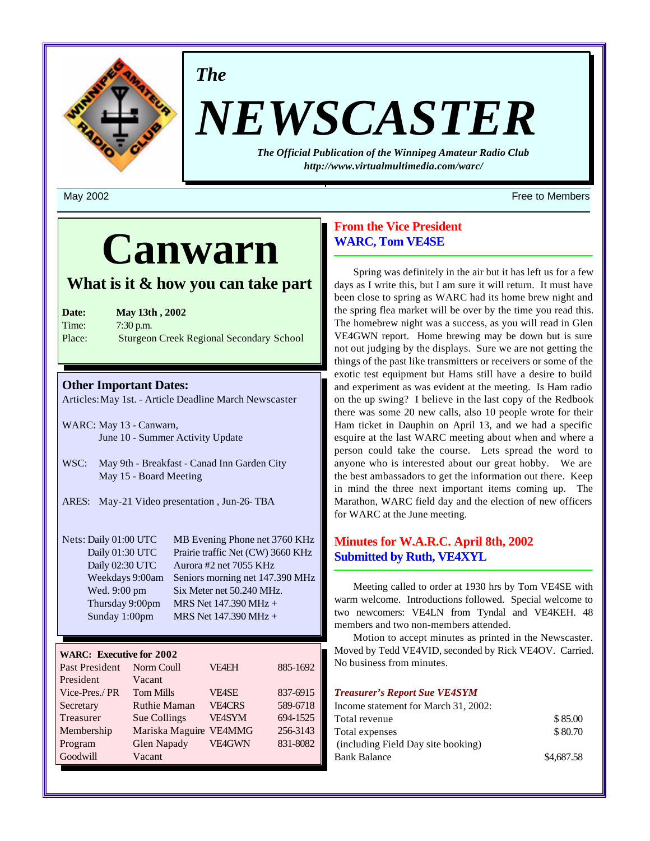

*The*

# *NEWSCASTER*

*The Official Publication of the Winnipeg Amateur Radio Club <http://www.virtualmultimedia.com/warc/>*

## **Canwarn**

## **What is it & how you can take part**

| Date:  | <b>May 13th, 2002</b>                           |
|--------|-------------------------------------------------|
| Time:  | $7:30$ p.m.                                     |
| Place: | <b>Sturgeon Creek Regional Secondary School</b> |

## **Other Important Dates:**

Articles: May 1st. - Article Deadline March Newscaster

- WARC: May 13 Canwarn, June 10 - Summer Activity Update
- WSC: May 9th Breakfast Canad Inn Garden City May 15 - Board Meeting
- ARES: May-21 Video presentation , Jun-26- TBA

| Nets: Daily 01:00 UTC | MB Evening Phone net 3760 KHz     |
|-----------------------|-----------------------------------|
| Daily 01:30 UTC       | Prairie traffic Net (CW) 3660 KHz |
| Daily 02:30 UTC       | Aurora #2 net 7055 KHz            |
| Weekdays 9:00am       | Seniors morning net 147.390 MHz   |
| Wed. 9:00 pm          | Six Meter net 50.240 MHz.         |
| Thursday 9:00pm       | MRS Net 147.390 MHz +             |
| Sunday 1:00pm         | MRS Net 147.390 MHz +             |

## **WARC: Executive for 2002**

| Past President | Norm Coull          | <b>VF4EH</b>  | 885-1692 |
|----------------|---------------------|---------------|----------|
| President      | Vacant              |               |          |
| Vice-Pres./PR  | <b>Tom Mills</b>    | <b>VE4SE</b>  | 837-6915 |
| Secretary      | <b>Ruthie Maman</b> | <b>VE4CRS</b> | 589-6718 |
| Treasurer      | Sue Collings        | <b>VE4SYM</b> | 694-1525 |
| Membership     | Mariska Maguire     | <b>VE4MMG</b> | 256-3143 |
| Program        | <b>Glen Napady</b>  | <b>VE4GWN</b> | 831-8082 |
| Goodwill       | Vacant              |               |          |

## **From the Vice President WARC, Tom VE4SE**

Spring was definitely in the air but it has left us for a few days as I write this, but I am sure it will return. It must have been close to spring as WARC had its home brew night and the spring flea market will be over by the time you read this. The homebrew night was a success, as you will read in Glen VE4GWN report. Home brewing may be down but is sure not out judging by the displays. Sure we are not getting the things of the past like transmitters or receivers or some of the exotic test equipment but Hams still have a desire to build and experiment as was evident at the meeting. Is Ham radio on the up swing? I believe in the last copy of the Redbook there was some 20 new calls, also 10 people wrote for their Ham ticket in Dauphin on April 13, and we had a specific esquire at the last WARC meeting about when and where a person could take the course. Lets spread the word to anyone who is interested about our great hobby. We are the best ambassadors to get the information out there. Keep in mind the three next important items coming up. The Marathon, WARC field day and the election of new officers for WARC at the June meeting.

## **Minutes for W.A.R.C. April 8th, 2002 Submitted by Ruth, VE4XYL**

Meeting called to order at 1930 hrs by Tom VE4SE with warm welcome. Introductions followed. Special welcome to two newcomers: VE4LN from Tyndal and VE4KEH. 48 members and two non-members attended.

Motion to accept minutes as printed in the Newscaster. Moved by Tedd VE4VID, seconded by Rick VE4OV. Carried. No business from minutes.

## *Treasurer's Report Sue VE4SYM*

| Income statement for March 31, 2002: |            |
|--------------------------------------|------------|
| Total revenue                        | \$85.00    |
| Total expenses                       | \$80.70    |
| (including Field Day site booking)   |            |
| Bank Balance                         | \$4,687.58 |

May 2002 **Free to Members Free to Members**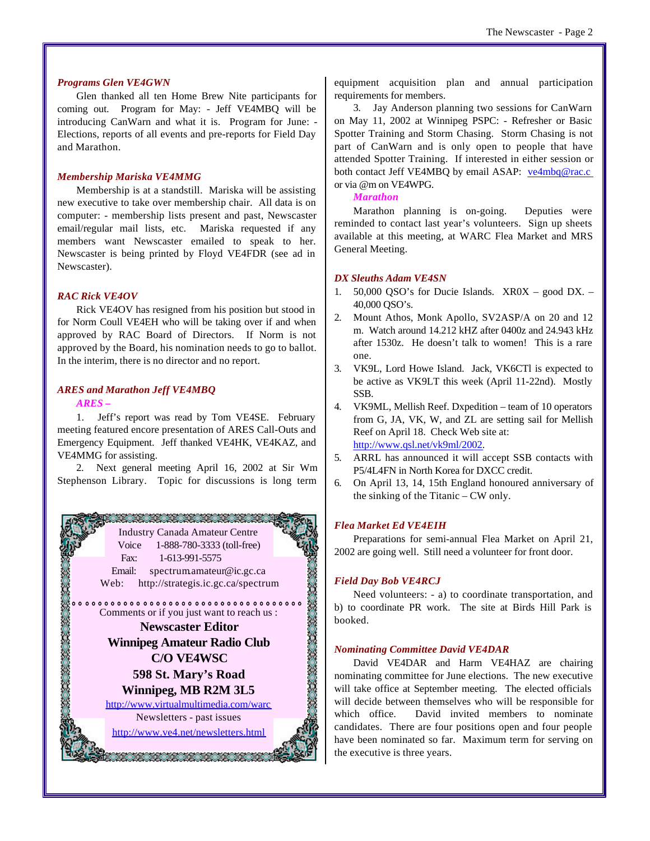#### *Programs Glen VE4GWN*

Glen thanked all ten Home Brew Nite participants for coming out. Program for May: - Jeff VE4MBQ will be introducing CanWarn and what it is. Program for June: - Elections, reports of all events and pre-reports for Field Day and Marathon.

#### *Membership Mariska VE4MMG*

Membership is at a standstill. Mariska will be assisting new executive to take over membership chair. All data is on computer: - membership lists present and past, Newscaster email/regular mail lists, etc. Mariska requested if any members want Newscaster emailed to speak to her. Newscaster is being printed by Floyd VE4FDR (see ad in Newscaster).

#### *RAC Rick VE4OV*

Rick VE4OV has resigned from his position but stood in for Norm Coull VE4EH who will be taking over if and when approved by RAC Board of Directors. If Norm is not approved by the Board, his nomination needs to go to ballot. In the interim, there is no director and no report.

### *ARES and Marathon Jeff VE4MBQ*

#### *ARES –*

1. Jeff's report was read by Tom VE4SE. February meeting featured encore presentation of ARES Call-Outs and Emergency Equipment. Jeff thanked VE4HK, VE4KAZ, and VE4MMG for assisting.

2. Next general meeting April 16, 2002 at Sir Wm Stephenson Library. Topic for discussions is long term



equipment acquisition plan and annual participation requirements for members.

3. Jay Anderson planning two sessions for CanWarn on May 11, 2002 at Winnipeg PSPC: - Refresher or Basic Spotter Training and Storm Chasing. Storm Chasing is not part of CanWarn and is only open to people that have attended Spotter Training. If interested in either session or both contact Jeff VE4MBQ by email ASAP: ve4mbq@rac.c or via @m on VE4WPG.

#### *Marathon*

Marathon planning is on-going. Deputies were reminded to contact last year's volunteers. Sign up sheets available at this meeting, at WARC Flea Market and MRS General Meeting.

#### *DX Sleuths Adam VE4SN*

- 1. 50,000 QSO's for Ducie Islands. XR0X good DX. 40,000 QSO's.
- 2. Mount Athos, Monk Apollo, SV2ASP/A on 20 and 12 m. Watch around 14.212 kHZ after 0400z and 24.943 kHz after 1530z. He doesn't talk to women! This is a rare one.
- 3. VK9L, Lord Howe Island. Jack, VK6CTl is expected to be active as VK9LT this week (April 11-22nd). Mostly SSB.
- 4. VK9ML, Mellish Reef. Dxpedition team of 10 operators from G, JA, VK, W, and ZL are setting sail for Mellish Reef on April 18. Check Web site at: [http://www.qsl.net/vk9ml/2002.](http://www.qsl.net/vk9ml/2002)
- 5. ARRL has announced it will accept SSB contacts with P5/4L4FN in North Korea for DXCC credit.
- 6. On April 13, 14, 15th England honoured anniversary of the sinking of the Titanic – CW only.

## *Flea Market Ed VE4EIH*

Preparations for semi-annual Flea Market on April 21, 2002 are going well. Still need a volunteer for front door.

#### *Field Day Bob VE4RCJ*

Need volunteers: - a) to coordinate transportation, and b) to coordinate PR work. The site at Birds Hill Park is booked.

#### *Nominating Committee David VE4DAR*

David VE4DAR and Harm VE4HAZ are chairing nominating committee for June elections. The new executive will take office at September meeting. The elected officials will decide between themselves who will be responsible for which office. David invited members to nominate candidates. There are four positions open and four people have been nominated so far. Maximum term for serving on the executive is three years.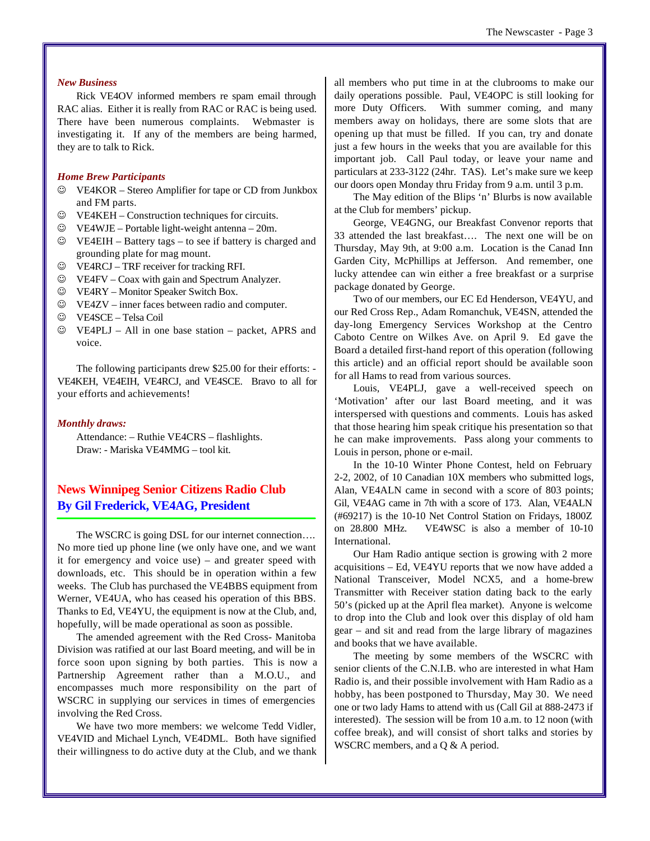## *New Business*

Rick VE4OV informed members re spam email through RAC alias. Either it is really from RAC or RAC is being used. There have been numerous complaints. Webmaster is investigating it. If any of the members are being harmed, they are to talk to Rick.

#### *Home Brew Participants*

- $\circledcirc$  VE4KOR Stereo Amplifier for tape or CD from Junkbox and FM parts.
- $\circledcirc$  VE4KEH Construction techniques for circuits.
- $\circledcirc$  VE4WJE Portable light-weight antenna 20m.
- $\circledcirc$  VE4EIH Battery tags to see if battery is charged and grounding plate for mag mount.
- $\circledcirc$  VE4RCJ TRF receiver for tracking RFI.
- $\circledcirc$  VE4FV Coax with gain and Spectrum Analyzer.
- $\circledcirc$  VE4RY Monitor Speaker Switch Box.
- $\circledcirc$  VE4ZV inner faces between radio and computer.
- J VE4SCE Telsa Coil
- $\circledcirc$  VE4PLJ All in one base station packet, APRS and voice.

The following participants drew \$25.00 for their efforts: - VE4KEH, VE4EIH, VE4RCJ, and VE4SCE. Bravo to all for your efforts and achievements!

#### *Monthly draws:*

Attendance: – Ruthie VE4CRS – flashlights. Draw: - Mariska VE4MMG – tool kit.

## **News Winnipeg Senior Citizens Radio Club By Gil Frederick, VE4AG, President**

The WSCRC is going DSL for our internet connection…. No more tied up phone line (we only have one, and we want it for emergency and voice use) – and greater speed with downloads, etc. This should be in operation within a few weeks. The Club has purchased the VE4BBS equipment from Werner, VE4UA, who has ceased his operation of this BBS. Thanks to Ed, VE4YU, the equipment is now at the Club, and, hopefully, will be made operational as soon as possible.

The amended agreement with the Red Cross- Manitoba Division was ratified at our last Board meeting, and will be in force soon upon signing by both parties. This is now a Partnership Agreement rather than a M.O.U., and encompasses much more responsibility on the part of WSCRC in supplying our services in times of emergencies involving the Red Cross.

We have two more members: we welcome Tedd Vidler, VE4VID and Michael Lynch, VE4DML. Both have signified their willingness to do active duty at the Club, and we thank all members who put time in at the clubrooms to make our daily operations possible. Paul, VE4OPC is still looking for more Duty Officers. With summer coming, and many members away on holidays, there are some slots that are opening up that must be filled. If you can, try and donate just a few hours in the weeks that you are available for this important job. Call Paul today, or leave your name and particulars at 233-3122 (24hr. TAS). Let's make sure we keep our doors open Monday thru Friday from 9 a.m. until 3 p.m.

The May edition of the Blips 'n' Blurbs is now available at the Club for members' pickup.

George, VE4GNG, our Breakfast Convenor reports that 33 attended the last breakfast…. The next one will be on Thursday, May 9th, at 9:00 a.m. Location is the Canad Inn Garden City, McPhillips at Jefferson. And remember, one lucky attendee can win either a free breakfast or a surprise package donated by George.

Two of our members, our EC Ed Henderson, VE4YU, and our Red Cross Rep., Adam Romanchuk, VE4SN, attended the day-long Emergency Services Workshop at the Centro Caboto Centre on Wilkes Ave. on April 9. Ed gave the Board a detailed first-hand report of this operation (following this article) and an official report should be available soon for all Hams to read from various sources.

Louis, VE4PLJ, gave a well-received speech on 'Motivation' after our last Board meeting, and it was interspersed with questions and comments. Louis has asked that those hearing him speak critique his presentation so that he can make improvements. Pass along your comments to Louis in person, phone or e-mail.

In the 10-10 Winter Phone Contest, held on February 2-2, 2002, of 10 Canadian 10X members who submitted logs, Alan, VE4ALN came in second with a score of 803 points; Gil, VE4AG came in 7th with a score of 173. Alan, VE4ALN (#69217) is the 10-10 Net Control Station on Fridays, 1800Z on 28.800 MHz. VE4WSC is also a member of 10-10 International.

Our Ham Radio antique section is growing with 2 more acquisitions – Ed, VE4YU reports that we now have added a National Transceiver, Model NCX5, and a home-brew Transmitter with Receiver station dating back to the early 50's (picked up at the April flea market). Anyone is welcome to drop into the Club and look over this display of old ham gear – and sit and read from the large library of magazines and books that we have available.

The meeting by some members of the WSCRC with senior clients of the C.N.I.B. who are interested in what Ham Radio is, and their possible involvement with Ham Radio as a hobby, has been postponed to Thursday, May 30. We need one or two lady Hams to attend with us (Call Gil at 888-2473 if interested). The session will be from 10 a.m. to 12 noon (with coffee break), and will consist of short talks and stories by WSCRC members, and a Q & A period.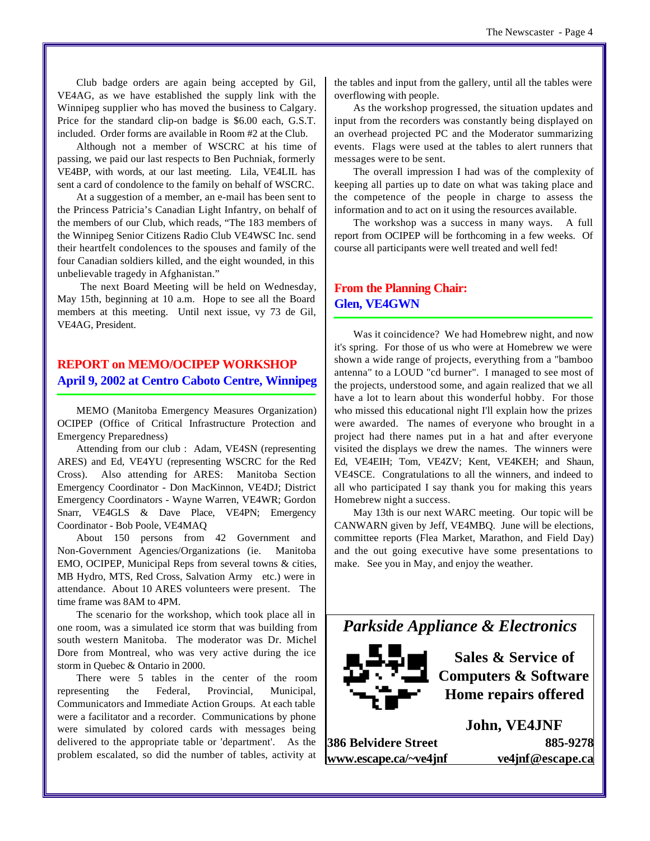Club badge orders are again being accepted by Gil, VE4AG, as we have established the supply link with the Winnipeg supplier who has moved the business to Calgary. Price for the standard clip-on badge is \$6.00 each, G.S.T. included. Order forms are available in Room #2 at the Club.

Although not a member of WSCRC at his time of passing, we paid our last respects to Ben Puchniak, formerly VE4BP, with words, at our last meeting. Lila, VE4LIL has sent a card of condolence to the family on behalf of WSCRC.

At a suggestion of a member, an e-mail has been sent to the Princess Patricia's Canadian Light Infantry, on behalf of the members of our Club, which reads, "The 183 members of the Winnipeg Senior Citizens Radio Club VE4WSC Inc. send their heartfelt condolences to the spouses and family of the four Canadian soldiers killed, and the eight wounded, in this unbelievable tragedy in Afghanistan."

The next Board Meeting will be held on Wednesday, May 15th, beginning at 10 a.m. Hope to see all the Board members at this meeting. Until next issue, vy 73 de Gil, VE4AG, President.

## **REPORT on MEMO/OCIPEP WORKSHOP April 9, 2002 at Centro Caboto Centre, Winnipeg**

MEMO (Manitoba Emergency Measures Organization) OCIPEP (Office of Critical Infrastructure Protection and Emergency Preparedness)

Attending from our club : Adam, VE4SN (representing ARES) and Ed, VE4YU (representing WSCRC for the Red Cross). Also attending for ARES: Manitoba Section Emergency Coordinator - Don MacKinnon, VE4DJ; District Emergency Coordinators - Wayne Warren, VE4WR; Gordon Snarr, VE4GLS & Dave Place, VE4PN; Emergency Coordinator - Bob Poole, VE4MAQ

About 150 persons from 42 Government and Non-Government Agencies/Organizations (ie. Manitoba EMO, OCIPEP, Municipal Reps from several towns & cities, MB Hydro, MTS, Red Cross, Salvation Army etc.) were in attendance. About 10 ARES volunteers were present. The time frame was 8AM to 4PM.

The scenario for the workshop, which took place all in one room, was a simulated ice storm that was building from south western Manitoba. The moderator was Dr. Michel Dore from Montreal, who was very active during the ice storm in Quebec & Ontario in 2000.

There were 5 tables in the center of the room representing the Federal, Provincial, Municipal, Communicators and Immediate Action Groups. At each table were a facilitator and a recorder. Communications by phone were simulated by colored cards with messages being delivered to the appropriate table or 'department'. As the problem escalated, so did the number of tables, activity at

the tables and input from the gallery, until all the tables were overflowing with people.

As the workshop progressed, the situation updates and input from the recorders was constantly being displayed on an overhead projected PC and the Moderator summarizing events. Flags were used at the tables to alert runners that messages were to be sent.

The overall impression I had was of the complexity of keeping all parties up to date on what was taking place and the competence of the people in charge to assess the information and to act on it using the resources available.

The workshop was a success in many ways. A full report from OCIPEP will be forthcoming in a few weeks. Of course all participants were well treated and well fed!

## **From the Planning Chair: Glen, VE4GWN**

Was it coincidence? We had Homebrew night, and now it's spring. For those of us who were at Homebrew we were shown a wide range of projects, everything from a "bamboo antenna" to a LOUD "cd burner". I managed to see most of the projects, understood some, and again realized that we all have a lot to learn about this wonderful hobby. For those who missed this educational night I'll explain how the prizes were awarded. The names of everyone who brought in a project had there names put in a hat and after everyone visited the displays we drew the names. The winners were Ed, VE4EIH; Tom, VE4ZV; Kent, VE4KEH; and Shaun, VE4SCE. Congratulations to all the winners, and indeed to all who participated I say thank you for making this years Homebrew night a success.

May 13th is our next WARC meeting. Our topic will be CANWARN given by Jeff, VE4MBQ. June will be elections, committee reports (Flea Market, Marathon, and Field Day) and the out going executive have some presentations to make. See you in May, and enjoy the weather.



**Sales & Service of Computers & Software Home repairs offered**

**386 Belvidere Street 885-9278 www.escape.ca/~ve4jnf ve4jnf@escape.ca**

**John, VE4JNF**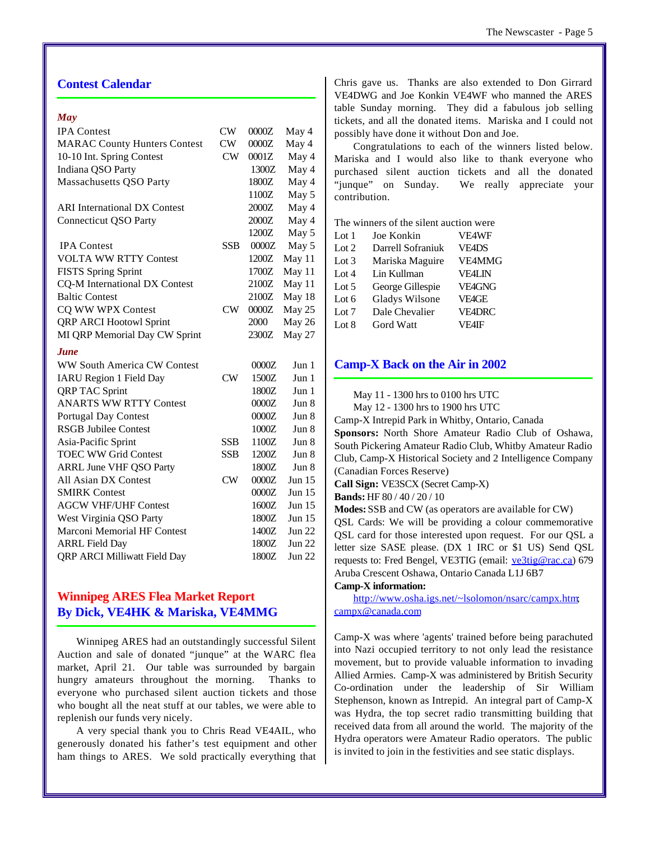## **Contest Calendar**

## *May*

| <b>IPA</b> Contest                  | CW         | 0000Z | May 4         |
|-------------------------------------|------------|-------|---------------|
| <b>MARAC County Hunters Contest</b> | CW         | 0000Z | May 4         |
| 10-10 Int. Spring Contest           | CW         | 0001Z | May 4         |
| Indiana QSO Party                   |            | 1300Z | May 4         |
| Massachusetts QSO Party             |            | 1800Z | May 4         |
|                                     |            | 1100Z | May 5         |
| <b>ARI</b> International DX Contest |            | 2000Z | May 4         |
| <b>Connecticut QSO Party</b>        |            | 2000Z | May 4         |
|                                     |            | 1200Z | May 5         |
| <b>IPA</b> Contest                  | <b>SSB</b> | 0000Z | May 5         |
| <b>VOLTA WW RTTY Contest</b>        |            | 1200Z | May 11        |
| <b>FISTS Spring Sprint</b>          |            | 1700Z | May 11        |
| CQ-M International DX Contest       |            | 2100Z | May 11        |
| <b>Baltic Contest</b>               |            | 2100Z | May 18        |
| CQ WW WPX Contest                   | CW         | 0000Z | May 25        |
| <b>QRP ARCI Hootowl Sprint</b>      |            | 2000  | May 26        |
| MI QRP Memorial Day CW Sprint       |            | 2300Z | May 27        |
| <b>June</b>                         |            |       |               |
| <b>WW South America CW Contest</b>  |            | 0000Z | Jun 1         |
| <b>IARU Region 1 Field Day</b>      | CW         | 1500Z | Jun 1         |
| <b>QRP TAC Sprint</b>               |            | 1800Z | Jun 1         |
| <b>ANARTS WW RTTY Contest</b>       |            | 0000Z | Jun 8         |
| <b>Portugal Day Contest</b>         |            | 0000Z | Jun 8         |
| <b>RSGB Jubilee Contest</b>         |            | 1000Z | Jun 8         |
| Asia-Pacific Sprint                 | <b>SSB</b> | 1100Z | Jun 8         |
| <b>TOEC WW Grid Contest</b>         | <b>SSB</b> | 1200Z | Jun 8         |
| <b>ARRL June VHF QSO Party</b>      |            | 1800Z | Jun 8         |
| All Asian DX Contest                | CW         | 0000Z | Jun 15        |
| <b>SMIRK Contest</b>                |            | 0000Z | Jun 15        |
| <b>AGCW VHF/UHF Contest</b>         |            | 1600Z | Jun $15$      |
| West Virginia QSO Party             |            | 1800Z | Jun $15$      |
| Marconi Memorial HF Contest         |            | 1400Z | <b>Jun 22</b> |
| <b>ARRL Field Day</b>               |            | 1800Z | Jun 22        |
|                                     |            |       |               |
| <b>QRP ARCI Milliwatt Field Day</b> |            | 1800Z | Jun 22        |

## **Winnipeg ARES Flea Market Report By Dick, VE4HK & Mariska, VE4MMG**

Winnipeg ARES had an outstandingly successful Silent Auction and sale of donated "junque" at the WARC flea market, April 21. Our table was surrounded by bargain hungry amateurs throughout the morning. Thanks to everyone who purchased silent auction tickets and those who bought all the neat stuff at our tables, we were able to replenish our funds very nicely.

A very special thank you to Chris Read VE4AIL, who generously donated his father's test equipment and other ham things to ARES. We sold practically everything that Chris gave us. Thanks are also extended to Don Girrard VE4DWG and Joe Konkin VE4WF who manned the ARES table Sunday morning. They did a fabulous job selling tickets, and all the donated items. Mariska and I could not possibly have done it without Don and Joe.

Congratulations to each of the winners listed below. Mariska and I would also like to thank everyone who purchased silent auction tickets and all the donated "junque" on Sunday. We really appreciate your contribution.

The winners of the silent auction were

| Lot 1                  | Joe Konkin            | <b>VE4WF</b>  |
|------------------------|-----------------------|---------------|
| $\operatorname{Lot} 2$ | Darrell Sofraniuk     | <b>VE4DS</b>  |
| Lot 3                  | Mariska Maguire       | <b>VE4MMG</b> |
| Lot 4                  | Lin Kullman           | <b>VE4LIN</b> |
| Lot 5                  | George Gillespie      | <b>VE4GNG</b> |
| Lot 6                  | <b>Gladys Wilsone</b> | <b>VE4GE</b>  |
| Lot 7                  | Dale Chevalier        | <b>VE4DRC</b> |
| Lot 8                  | Gord Watt             | <b>VF4IF</b>  |

## **Camp-X Back on the Air in 2002**

May 11 - 1300 hrs to 0100 hrs UTC

May 12 - 1300 hrs to 1900 hrs UTC

Camp-X Intrepid Park in Whitby, Ontario, Canada

**Sponsors:** North Shore Amateur Radio Club of Oshawa, South Pickering Amateur Radio Club, Whitby Amateur Radio Club, Camp-X Historical Society and 2 Intelligence Company (Canadian Forces Reserve)

**Call Sign:** VE3SCX (Secret Camp-X)

**Bands:** HF 80 / 40 / 20 / 10

**Modes:** SSB and CW (as operators are available for CW)

QSL Cards: We will be providing a colour commemorative QSL card for those interested upon request. For our QSL a letter size SASE please. (DX 1 IRC or \$1 US) Send QSL requests to: Fred Bengel, VE3TIG (email: ve3tig@rac.ca) 679 Aruba Crescent Oshawa, Ontario Canada L1J 6B7

## **Camp-X information:**

[http://www.osha.igs.net/~lsolomon/nsarc/campx.htm;](http://www.osha.igs.net/~lsolomon/nsarc/campx.htm) campx@canada.com

Camp-X was where 'agents' trained before being parachuted into Nazi occupied territory to not only lead the resistance movement, but to provide valuable information to invading Allied Armies. Camp-X was administered by British Security Co-ordination under the leadership of Sir William Stephenson, known as Intrepid. An integral part of Camp-X was Hydra, the top secret radio transmitting building that received data from all around the world. The majority of the Hydra operators were Amateur Radio operators. The public is invited to join in the festivities and see static displays.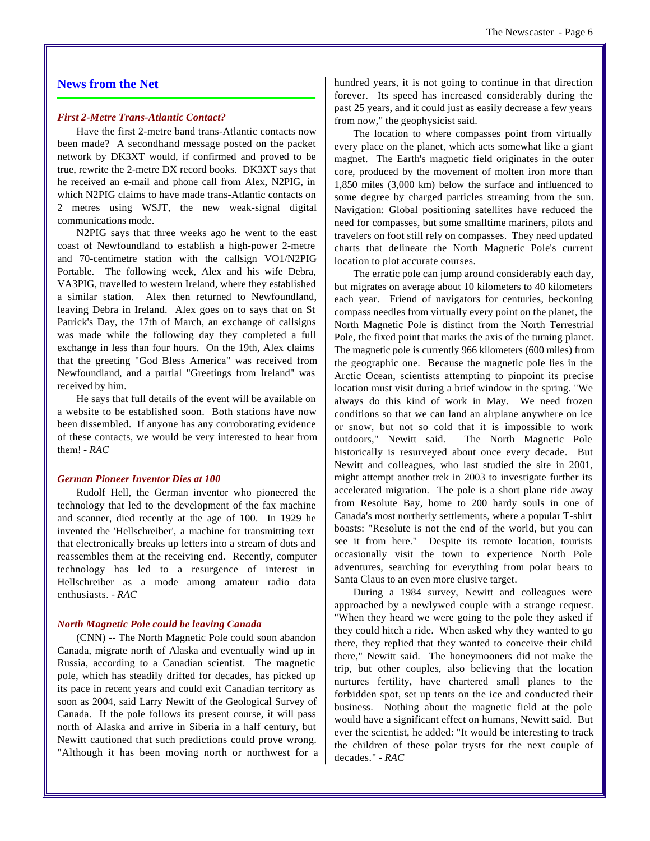## **News from the Net**

#### *First 2-Metre Trans-Atlantic Contact?*

Have the first 2-metre band trans-Atlantic contacts now been made? A secondhand message posted on the packet network by DK3XT would, if confirmed and proved to be true, rewrite the 2-metre DX record books. DK3XT says that he received an e-mail and phone call from Alex, N2PIG, in which N2PIG claims to have made trans-Atlantic contacts on 2 metres using WSJT, the new weak-signal digital communications mode.

N2PIG says that three weeks ago he went to the east coast of Newfoundland to establish a high-power 2-metre and 70-centimetre station with the callsign VO1/N2PIG Portable. The following week, Alex and his wife Debra, VA3PIG, travelled to western Ireland, where they established a similar station. Alex then returned to Newfoundland, leaving Debra in Ireland. Alex goes on to says that on St Patrick's Day, the 17th of March, an exchange of callsigns was made while the following day they completed a full exchange in less than four hours. On the 19th, Alex claims that the greeting "God Bless America" was received from Newfoundland, and a partial "Greetings from Ireland" was received by him.

He says that full details of the event will be available on a website to be established soon. Both stations have now been dissembled. If anyone has any corroborating evidence of these contacts, we would be very interested to hear from them! *- RAC*

#### *German Pioneer Inventor Dies at 100*

Rudolf Hell, the German inventor who pioneered the technology that led to the development of the fax machine and scanner, died recently at the age of 100. In 1929 he invented the 'Hellschreiber', a machine for transmitting text that electronically breaks up letters into a stream of dots and reassembles them at the receiving end. Recently, computer technology has led to a resurgence of interest in Hellschreiber as a mode among amateur radio data enthusiasts. *- RAC*

#### *North Magnetic Pole could be leaving Canada*

(CNN) -- The North Magnetic Pole could soon abandon Canada, migrate north of Alaska and eventually wind up in Russia, according to a Canadian scientist. The magnetic pole, which has steadily drifted for decades, has picked up its pace in recent years and could exit Canadian territory as soon as 2004, said Larry Newitt of the Geological Survey of Canada. If the pole follows its present course, it will pass north of Alaska and arrive in Siberia in a half century, but Newitt cautioned that such predictions could prove wrong. "Although it has been moving north or northwest for a hundred years, it is not going to continue in that direction forever. Its speed has increased considerably during the past 25 years, and it could just as easily decrease a few years from now," the geophysicist said.

The location to where compasses point from virtually every place on the planet, which acts somewhat like a giant magnet. The Earth's magnetic field originates in the outer core, produced by the movement of molten iron more than 1,850 miles (3,000 km) below the surface and influenced to some degree by charged particles streaming from the sun. Navigation: Global positioning satellites have reduced the need for compasses, but some smalltime mariners, pilots and travelers on foot still rely on compasses. They need updated charts that delineate the North Magnetic Pole's current location to plot accurate courses.

The erratic pole can jump around considerably each day, but migrates on average about 10 kilometers to 40 kilometers each year. Friend of navigators for centuries, beckoning compass needles from virtually every point on the planet, the North Magnetic Pole is distinct from the North Terrestrial Pole, the fixed point that marks the axis of the turning planet. The magnetic pole is currently 966 kilometers (600 miles) from the geographic one. Because the magnetic pole lies in the Arctic Ocean, scientists attempting to pinpoint its precise location must visit during a brief window in the spring. "We always do this kind of work in May. We need frozen conditions so that we can land an airplane anywhere on ice or snow, but not so cold that it is impossible to work outdoors," Newitt said. The North Magnetic Pole historically is resurveyed about once every decade. But Newitt and colleagues, who last studied the site in 2001, might attempt another trek in 2003 to investigate further its accelerated migration. The pole is a short plane ride away from Resolute Bay, home to 200 hardy souls in one of Canada's most northerly settlements, where a popular T-shirt boasts: "Resolute is not the end of the world, but you can see it from here." Despite its remote location, tourists occasionally visit the town to experience North Pole adventures, searching for everything from polar bears to Santa Claus to an even more elusive target.

During a 1984 survey, Newitt and colleagues were approached by a newlywed couple with a strange request. "When they heard we were going to the pole they asked if they could hitch a ride. When asked why they wanted to go there, they replied that they wanted to conceive their child there," Newitt said. The honeymooners did not make the trip, but other couples, also believing that the location nurtures fertility, have chartered small planes to the forbidden spot, set up tents on the ice and conducted their business. Nothing about the magnetic field at the pole would have a significant effect on humans, Newitt said. But ever the scientist, he added: "It would be interesting to track the children of these polar trysts for the next couple of decades." *- RAC*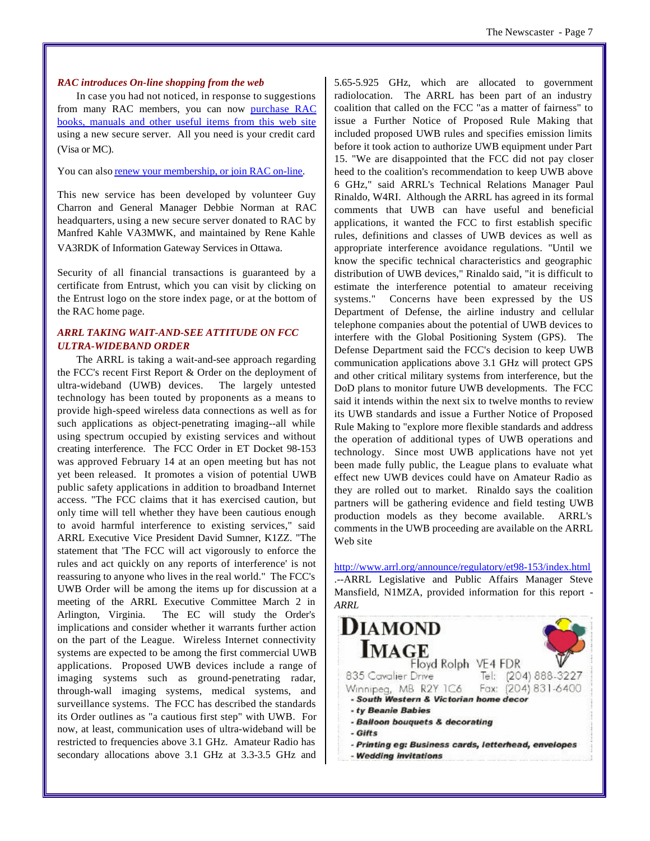#### *RAC introduces On-line shopping from the web*

In case you had not noticed, in response to suggestions from many RAC members, you can now purchase RAC books, manuals and other useful items from this web site using a new secure server. All you need is your credit card (Visa or MC).

You can also renew your membership, or join RAC on-line.

This new service has been developed by volunteer Guy Charron and General Manager Debbie Norman at RAC headquarters, using a new secure server donated to RAC by Manfred Kahle VA3MWK, and maintained by Rene Kahle VA3RDK of Information Gateway Services in Ottawa.

Security of all financial transactions is guaranteed by a certificate from Entrust, which you can visit by clicking on the Entrust logo on the store index page, or at the bottom of the RAC home page.

## *ARRL TAKING WAIT-AND-SEE ATTITUDE ON FCC ULTRA-WIDEBAND ORDER*

The ARRL is taking a wait-and-see approach regarding the FCC's recent First Report & Order on the deployment of ultra-wideband (UWB) devices. The largely untested technology has been touted by proponents as a means to provide high-speed wireless data connections as well as for such applications as object-penetrating imaging--all while using spectrum occupied by existing services and without creating interference. The FCC Order in ET Docket 98-153 was approved February 14 at an open meeting but has not yet been released. It promotes a vision of potential UWB public safety applications in addition to broadband Internet access. "The FCC claims that it has exercised caution, but only time will tell whether they have been cautious enough to avoid harmful interference to existing services," said ARRL Executive Vice President David Sumner, K1ZZ. "The statement that 'The FCC will act vigorously to enforce the rules and act quickly on any reports of interference' is not reassuring to anyone who lives in the real world." The FCC's UWB Order will be among the items up for discussion at a meeting of the ARRL Executive Committee March 2 in Arlington, Virginia. The EC will study the Order's implications and consider whether it warrants further action on the part of the League. Wireless Internet connectivity systems are expected to be among the first commercial UWB applications. Proposed UWB devices include a range of imaging systems such as ground-penetrating radar, through-wall imaging systems, medical systems, and surveillance systems. The FCC has described the standards its Order outlines as "a cautious first step" with UWB. For now, at least, communication uses of ultra-wideband will be restricted to frequencies above 3.1 GHz. Amateur Radio has secondary allocations above 3.1 GHz at 3.3-3.5 GHz and 5.65-5.925 GHz, which are allocated to government radiolocation. The ARRL has been part of an industry coalition that called on the FCC "as a matter of fairness" to issue a Further Notice of Proposed Rule Making that included proposed UWB rules and specifies emission limits before it took action to authorize UWB equipment under Part 15. "We are disappointed that the FCC did not pay closer heed to the coalition's recommendation to keep UWB above 6 GHz," said ARRL's Technical Relations Manager Paul Rinaldo, W4RI. Although the ARRL has agreed in its formal comments that UWB can have useful and beneficial applications, it wanted the FCC to first establish specific rules, definitions and classes of UWB devices as well as appropriate interference avoidance regulations. "Until we know the specific technical characteristics and geographic distribution of UWB devices," Rinaldo said, "it is difficult to estimate the interference potential to amateur receiving systems." Concerns have been expressed by the US Department of Defense, the airline industry and cellular telephone companies about the potential of UWB devices to interfere with the Global Positioning System (GPS). The Defense Department said the FCC's decision to keep UWB communication applications above 3.1 GHz will protect GPS and other critical military systems from interference, but the DoD plans to monitor future UWB developments. The FCC said it intends within the next six to twelve months to review its UWB standards and issue a Further Notice of Proposed Rule Making to "explore more flexible standards and address the operation of additional types of UWB operations and technology. Since most UWB applications have not yet been made fully public, the League plans to evaluate what effect new UWB devices could have on Amateur Radio as they are rolled out to market. Rinaldo says the coalition partners will be gathering evidence and field testing UWB production models as they become available. ARRL's comments in the UWB proceeding are available on the ARRL Web site

<http://www.arrl.org/announce/regulatory/et98-153/index.html> .--ARRL Legislative and Public Affairs Manager Steve Mansfield, N1MZA, provided information for this report *- ARRL*

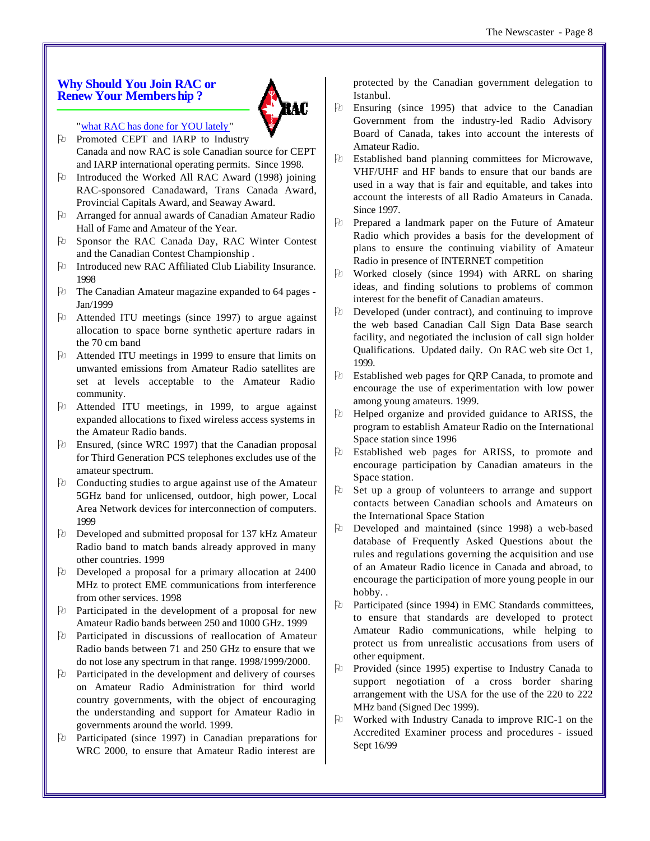## **Why Should You Join RAC or Renew Your Membership ?**



## "what RAC has done for YOU lately"

Pu Promoted CEPT and IARP to Industry Canada and now RAC is sole Canadian source for CEPT and IARP international operating permits. Since 1998.

- $\forall$  Introduced the Worked All RAC Award (1998) joining RAC-sponsored Canadaward, Trans Canada Award, Provincial Capitals Award, and Seaway Award.
- $\Theta$  Arranged for annual awards of Canadian Amateur Radio Hall of Fame and Amateur of the Year.
- O Sponsor the RAC Canada Day, RAC Winter Contest and the Canadian Contest Championship .
- O Introduced new RAC Affiliated Club Liability Insurance. 1998
- P The Canadian Amateur magazine expanded to 64 pages -Jan/1999
- $\upbeta$  Attended ITU meetings (since 1997) to argue against allocation to space borne synthetic aperture radars in the 70 cm band
- $\Theta$  Attended ITU meetings in 1999 to ensure that limits on unwanted emissions from Amateur Radio satellites are set at levels acceptable to the Amateur Radio community.
- $\upbeta$  Attended ITU meetings, in 1999, to argue against expanded allocations to fixed wireless access systems in the Amateur Radio bands.
- $\Theta$  Ensured, (since WRC 1997) that the Canadian proposal for Third Generation PCS telephones excludes use of the amateur spectrum.
- $\Theta$  Conducting studies to argue against use of the Amateur 5GHz band for unlicensed, outdoor, high power, Local Area Network devices for interconnection of computers. 1999
- O Developed and submitted proposal for 137 kHz Amateur Radio band to match bands already approved in many other countries. 1999
- O Developed a proposal for a primary allocation at 2400 MHz to protect EME communications from interference from other services. 1998
- $\Theta$  Participated in the development of a proposal for new Amateur Radio bands between 250 and 1000 GHz. 1999
- O Participated in discussions of reallocation of Amateur Radio bands between 71 and 250 GHz to ensure that we do not lose any spectrum in that range. 1998/1999/2000.
- $\Theta$  Participated in the development and delivery of courses on Amateur Radio Administration for third world country governments, with the object of encouraging the understanding and support for Amateur Radio in governments around the world. 1999.
- O Participated (since 1997) in Canadian preparations for WRC 2000, to ensure that Amateur Radio interest are

protected by the Canadian government delegation to Istanbul.

- $\upbeta$  Ensuring (since 1995) that advice to the Canadian Government from the industry-led Radio Advisory Board of Canada, takes into account the interests of Amateur Radio.
- $\upbeta$  Established band planning committees for Microwave, VHF/UHF and HF bands to ensure that our bands are used in a way that is fair and equitable, and takes into account the interests of all Radio Amateurs in Canada. Since 1997.
- O Prepared a landmark paper on the Future of Amateur Radio which provides a basis for the development of plans to ensure the continuing viability of Amateur Radio in presence of INTERNET competition
- $\upbeta$  Worked closely (since 1994) with ARRL on sharing ideas, and finding solutions to problems of common interest for the benefit of Canadian amateurs.
- $\upbeta$  Developed (under contract), and continuing to improve the web based Canadian Call Sign Data Base search facility, and negotiated the inclusion of call sign holder Qualifications. Updated daily. On RAC web site Oct 1, 1999.
- $\Theta$  Established web pages for QRP Canada, to promote and encourage the use of experimentation with low power among young amateurs. 1999.
- $\upbeta$  Helped organize and provided guidance to ARISS, the program to establish Amateur Radio on the International Space station since 1996
- O Established web pages for ARISS, to promote and encourage participation by Canadian amateurs in the Space station.
- $\upbeta$  Set up a group of volunteers to arrange and support contacts between Canadian schools and Amateurs on the International Space Station
- $\upbeta$  Developed and maintained (since 1998) a web-based database of Frequently Asked Questions about the rules and regulations governing the acquisition and use of an Amateur Radio licence in Canada and abroad, to encourage the participation of more young people in our hobby. .
- $\Theta$  Participated (since 1994) in EMC Standards committees, to ensure that standards are developed to protect Amateur Radio communications, while helping to protect us from unrealistic accusations from users of other equipment.
- $\upbeta$  Provided (since 1995) expertise to Industry Canada to support negotiation of a cross border sharing arrangement with the USA for the use of the 220 to 222 MHz band (Signed Dec 1999).
- $\upbeta$  Worked with Industry Canada to improve RIC-1 on the Accredited Examiner process and procedures - issued Sept 16/99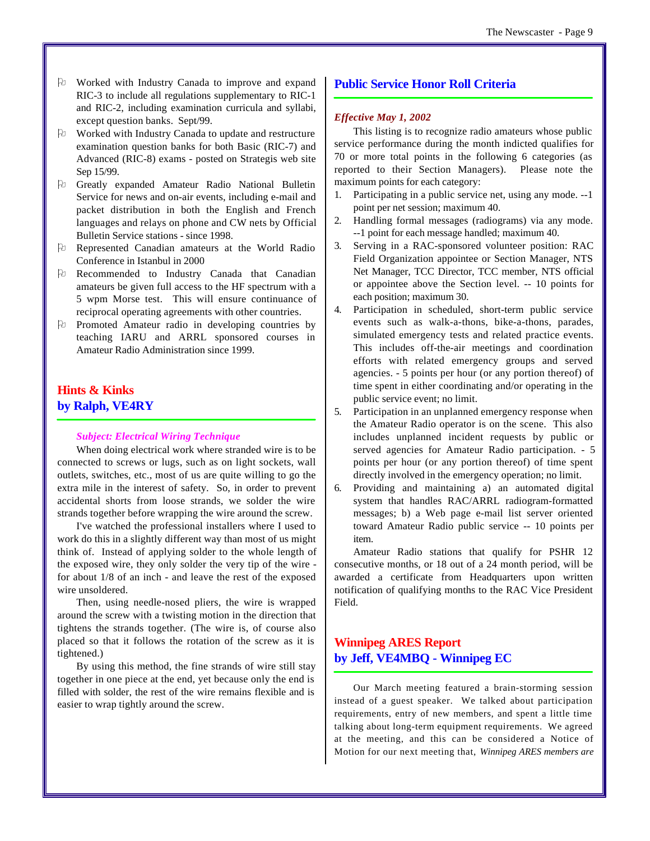- O Worked with Industry Canada to improve and expand RIC-3 to include all regulations supplementary to RIC-1 and RIC-2, including examination curricula and syllabi, except question banks. Sept/99.
- P Worked with Industry Canada to update and restructure examination question banks for both Basic (RIC-7) and Advanced (RIC-8) exams - posted on Strategis web site Sep 15/99.
- $\Theta$  Greatly expanded Amateur Radio National Bulletin Service for news and on-air events, including e-mail and packet distribution in both the English and French languages and relays on phone and CW nets by Official Bulletin Service stations - since 1998.
- O Represented Canadian amateurs at the World Radio Conference in Istanbul in 2000
- O Recommended to Industry Canada that Canadian amateurs be given full access to the HF spectrum with a 5 wpm Morse test. This will ensure continuance of reciprocal operating agreements with other countries.
- O Promoted Amateur radio in developing countries by teaching IARU and ARRL sponsored courses in Amateur Radio Administration since 1999.

## **Hints & Kinks by Ralph, VE4RY**

#### *Subject: Electrical Wiring Technique*

When doing electrical work where stranded wire is to be connected to screws or lugs, such as on light sockets, wall outlets, switches, etc., most of us are quite willing to go the extra mile in the interest of safety. So, in order to prevent accidental shorts from loose strands, we solder the wire strands together before wrapping the wire around the screw.

I've watched the professional installers where I used to work do this in a slightly different way than most of us might think of. Instead of applying solder to the whole length of the exposed wire, they only solder the very tip of the wire for about 1/8 of an inch - and leave the rest of the exposed wire unsoldered.

Then, using needle-nosed pliers, the wire is wrapped around the screw with a twisting motion in the direction that tightens the strands together. (The wire is, of course also placed so that it follows the rotation of the screw as it is tightened.)

By using this method, the fine strands of wire still stay together in one piece at the end, yet because only the end is filled with solder, the rest of the wire remains flexible and is easier to wrap tightly around the screw.

## **Public Service Honor Roll Criteria**

#### *Effective May 1, 2002*

This listing is to recognize radio amateurs whose public service performance during the month indicted qualifies for 70 or more total points in the following 6 categories (as reported to their Section Managers). Please note the maximum points for each category:

- 1. Participating in a public service net, using any mode. --1 point per net session; maximum 40.
- 2. Handling formal messages (radiograms) via any mode. --1 point for each message handled; maximum 40.
- 3. Serving in a RAC-sponsored volunteer position: RAC Field Organization appointee or Section Manager, NTS Net Manager, TCC Director, TCC member, NTS official or appointee above the Section level. -- 10 points for each position; maximum 30.
- 4. Participation in scheduled, short-term public service events such as walk-a-thons, bike-a-thons, parades, simulated emergency tests and related practice events. This includes off-the-air meetings and coordination efforts with related emergency groups and served agencies. - 5 points per hour (or any portion thereof) of time spent in either coordinating and/or operating in the public service event; no limit.
- 5. Participation in an unplanned emergency response when the Amateur Radio operator is on the scene. This also includes unplanned incident requests by public or served agencies for Amateur Radio participation. - 5 points per hour (or any portion thereof) of time spent directly involved in the emergency operation; no limit.
- 6. Providing and maintaining a) an automated digital system that handles RAC/ARRL radiogram-formatted messages; b) a Web page e-mail list server oriented toward Amateur Radio public service -- 10 points per item.

Amateur Radio stations that qualify for PSHR 12 consecutive months, or 18 out of a 24 month period, will be awarded a certificate from Headquarters upon written notification of qualifying months to the RAC Vice President Field.

## **Winnipeg ARES Report by Jeff, VE4MBQ - Winnipeg EC**

Our March meeting featured a brain-storming session instead of a guest speaker. We talked about participation requirements, entry of new members, and spent a little time talking about long-term equipment requirements. We agreed at the meeting, and this can be considered a Notice of Motion for our next meeting that, *Winnipeg ARES members are*